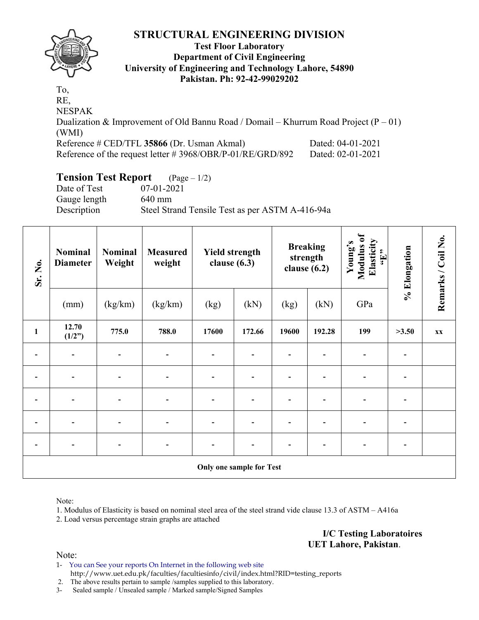

### **Test Floor Laboratory Department of Civil Engineering University of Engineering and Technology Lahore, 54890 Pakistan. Ph: 92-42-99029202**

To, RE, NESPAK Dualization & Improvement of Old Bannu Road / Domail – Khurrum Road Project  $(P - 01)$ (WMI) Reference # CED/TFL **35866** (Dr. Usman Akmal) Dated: 04-01-2021 Reference of the request letter # 3968/OBR/P-01/RE/GRD/892 Dated: 02-01-2021

# **Tension Test Report** (Page – 1/2)

Date of Test 07-01-2021 Gauge length 640 mm Description Steel Strand Tensile Test as per ASTM A-416-94a

| Sr. No.                  | Nominal<br><b>Diameter</b> | <b>Nominal</b><br>Weight |                          | <b>Yield strength</b><br>clause $(6.3)$ |                          | clause $(6.2)$ | <b>Breaking</b><br>strength | $\overline{\bullet}$<br>Elasticity<br>Young's<br>Modulus<br>$\epsilon_{\rm H},$ | % Elongation | Remarks / Coil No. |
|--------------------------|----------------------------|--------------------------|--------------------------|-----------------------------------------|--------------------------|----------------|-----------------------------|---------------------------------------------------------------------------------|--------------|--------------------|
|                          | (mm)                       | (kg/km)                  | (kg/km)                  | (kg)                                    | (kN)                     | (kg)           | (kN)                        | GPa                                                                             |              |                    |
| $\mathbf{1}$             | 12.70<br>(1/2")            | 775.0                    | 788.0                    | 17600                                   | 172.66                   | 19600          | 192.28                      | 199                                                                             | >3.50        | XX                 |
|                          |                            |                          |                          |                                         |                          |                |                             |                                                                                 |              |                    |
| $\overline{\phantom{0}}$ | $\overline{\phantom{a}}$   | $\overline{\phantom{0}}$ | $\overline{\phantom{0}}$ | $\overline{\phantom{0}}$                |                          |                |                             |                                                                                 |              |                    |
| $\overline{a}$           | $\overline{\phantom{a}}$   |                          |                          | $\overline{\phantom{0}}$                |                          |                |                             |                                                                                 |              |                    |
|                          |                            |                          |                          |                                         |                          |                |                             |                                                                                 |              |                    |
|                          | $\overline{\phantom{0}}$   |                          |                          |                                         |                          |                |                             |                                                                                 |              |                    |
|                          |                            |                          |                          |                                         | Only one sample for Test |                |                             |                                                                                 |              |                    |

Note:

1. Modulus of Elasticity is based on nominal steel area of the steel strand vide clause 13.3 of ASTM – A416a

2. Load versus percentage strain graphs are attached

**I/C Testing Laboratoires UET Lahore, Pakistan**.

Note:

1- You can See your reports On Internet in the following web site http://www.uet.edu.pk/faculties/facultiesinfo/civil/index.html?RID=testing\_reports

2. The above results pertain to sample /samples supplied to this laboratory.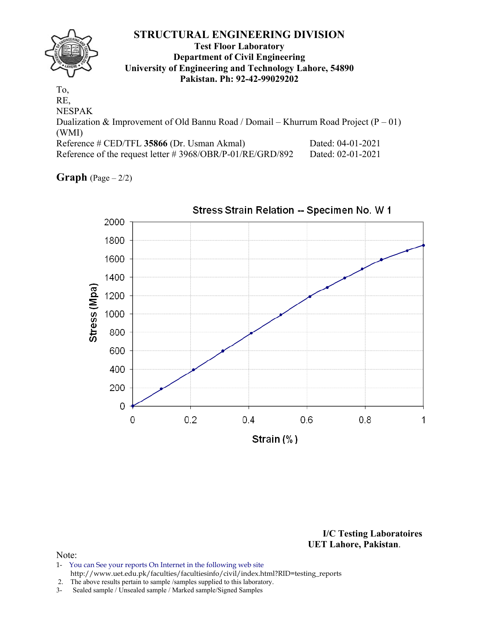### **STRUCTURAL ENGINEERING DIVISION Test Floor Laboratory Department of Civil Engineering University of Engineering and Technology Lahore, 54890 Pakistan. Ph: 92-42-99029202**  To, RE, NESPAK Dualization & Improvement of Old Bannu Road / Domail – Khurrum Road Project  $(P - 01)$ (WMI)

| Reference # CED/TFL 35866 (Dr. Usman Akmal)               | Dated: 04-01-2021 |
|-----------------------------------------------------------|-------------------|
| Reference of the request letter #3968/OBR/P-01/RE/GRD/892 | Dated: 02-01-2021 |

**Graph**  $(Page - 2/2)$ 



**I/C Testing Laboratoires** 

### **UET Lahore, Pakistan**.

### Note:

1- You can See your reports On Internet in the following web site http://www.uet.edu.pk/faculties/facultiesinfo/civil/index.html?RID=testing\_reports

2. The above results pertain to sample / samples supplied to this laboratory.<br>3- Sealed sample / Unsealed sample / Marked sample/Signed Samples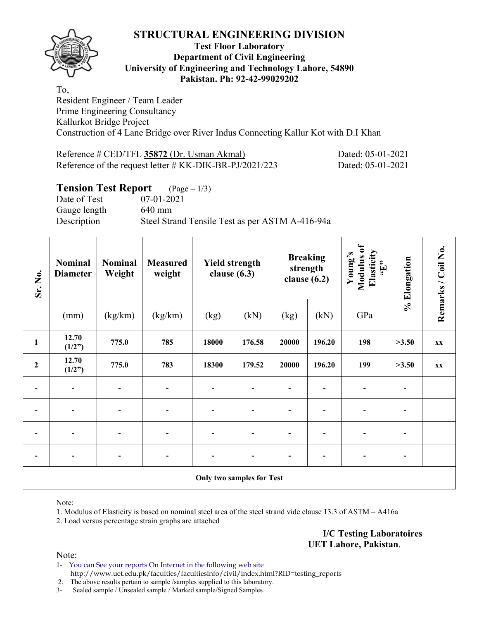

### **Test Floor Laboratory Department of Civil Engineering University of Engineering and Technology Lahore, 54890 Pakistan. Ph: 92-42-99029202**

To, Resident Engineer / Team Leader Prime Engineering Consultancy Kallurkot Bridge Project Construction of 4 Lane Bridge over River Indus Connecting Kallur Kot with D.I Khan

| Reference # CED/TFL 35872 (Dr. Usman Akmal)                | Dated: 05-01-2021 |
|------------------------------------------------------------|-------------------|
| Reference of the request letter $\#$ KK-DIK-BR-PJ/2021/223 | Dated: 05-01-2021 |

### **Tension Test Report** (Page – 1/3)

Date of Test 07-01-2021 Gauge length 640 mm Description Steel Strand Tensile Test as per ASTM A-416-94a

| Sr. No.      | Nominal<br><b>Diameter</b> | <b>Nominal</b><br>Weight | <b>Yield strength</b><br><b>Measured</b><br>weight<br>clause $(6.3)$ |       | <b>Breaking</b><br>strength<br>clause $(6.2)$ |       | Modulus of<br>Elasticity<br>Young's<br>$\mathbf{f}$ . Here | % Elongation | Remarks / Coil No. |                        |
|--------------|----------------------------|--------------------------|----------------------------------------------------------------------|-------|-----------------------------------------------|-------|------------------------------------------------------------|--------------|--------------------|------------------------|
|              | (mm)                       | (kg/km)                  | (kg/km)                                                              | (kg)  | (kN)                                          | (kg)  | (kN)                                                       | GPa          |                    |                        |
| $\mathbf{1}$ | 12.70<br>(1/2")            | 775.0                    | 785                                                                  | 18000 | 176.58                                        | 20000 | 196.20                                                     | 198          | >3.50              | <b>XX</b>              |
| $\mathbf 2$  | 12.70<br>(1/2")            | 775.0                    | 783                                                                  | 18300 | 179.52                                        | 20000 | 196.20                                                     | 199          | >3.50              | $\mathbf{X}\mathbf{X}$ |
|              | $\blacksquare$             |                          |                                                                      |       |                                               |       |                                                            |              |                    |                        |
|              | $\overline{\phantom{0}}$   |                          |                                                                      |       |                                               |       |                                                            |              |                    |                        |
|              | $\blacksquare$             |                          |                                                                      |       |                                               |       |                                                            |              |                    |                        |
|              | $\overline{\phantom{0}}$   |                          |                                                                      |       |                                               |       |                                                            |              |                    |                        |
|              |                            |                          |                                                                      |       | <b>Only two samples for Test</b>              |       |                                                            |              |                    |                        |

Note:

1. Modulus of Elasticity is based on nominal steel area of the steel strand vide clause 13.3 of ASTM – A416a

2. Load versus percentage strain graphs are attached

**I/C Testing Laboratoires UET Lahore, Pakistan**.

Note:

1- You can See your reports On Internet in the following web site http://www.uet.edu.pk/faculties/facultiesinfo/civil/index.html?RID=testing\_reports

2. The above results pertain to sample /samples supplied to this laboratory.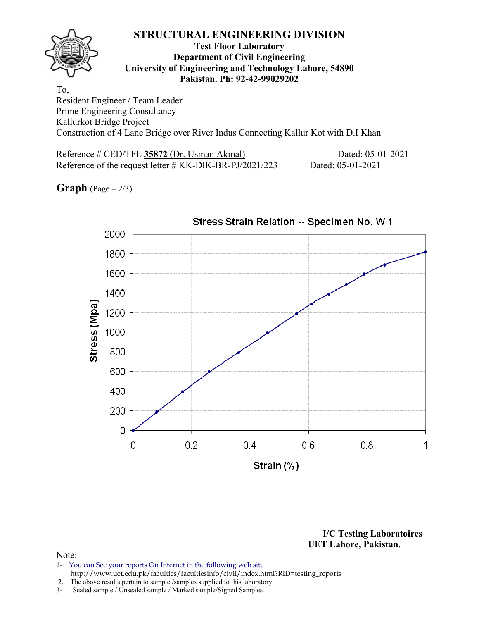### **Test Floor Laboratory Department of Civil Engineering University of Engineering and Technology Lahore, 54890 Pakistan. Ph: 92-42-99029202**

To, Resident Engineer / Team Leader Prime Engineering Consultancy Kallurkot Bridge Project Construction of 4 Lane Bridge over River Indus Connecting Kallur Kot with D.I Khan

Reference # CED/TFL **35872** (Dr. Usman Akmal) Dated: 05-01-2021 Reference of the request letter # KK-DIK-BR-PJ/2021/223 Dated: 05-01-2021

**Graph**  $(Page - 2/3)$ 



**I/C Testing Laboratoires UET Lahore, Pakistan**.

- 1- You can See your reports On Internet in the following web site http://www.uet.edu.pk/faculties/facultiesinfo/civil/index.html?RID=testing\_reports
- 2. The above results pertain to sample /samples supplied to this laboratory.
- 3- Sealed sample / Unsealed sample / Marked sample/Signed Samples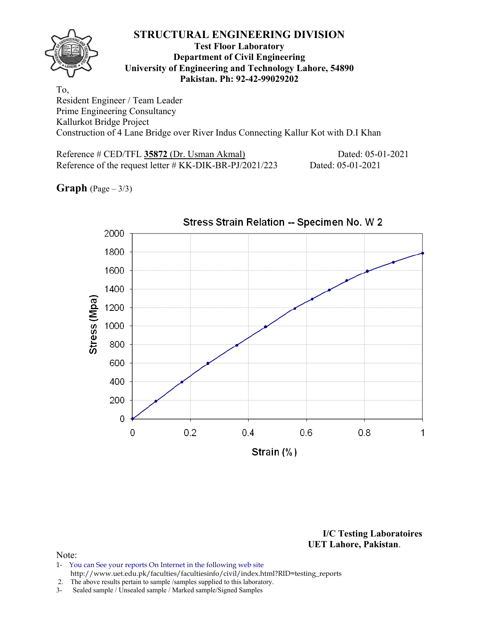### **Test Floor Laboratory Department of Civil Engineering University of Engineering and Technology Lahore, 54890 Pakistan. Ph: 92-42-99029202**

To, Resident Engineer / Team Leader Prime Engineering Consultancy Kallurkot Bridge Project Construction of 4 Lane Bridge over River Indus Connecting Kallur Kot with D.I Khan

Reference # CED/TFL **35872** (Dr. Usman Akmal) Dated: 05-01-2021 Reference of the request letter # KK-DIK-BR-PJ/2021/223 Dated: 05-01-2021

**Graph**  $(Page - 3/3)$ 



**I/C Testing Laboratoires UET Lahore, Pakistan**.

- 1- You can See your reports On Internet in the following web site http://www.uet.edu.pk/faculties/facultiesinfo/civil/index.html?RID=testing\_reports
- 2. The above results pertain to sample /samples supplied to this laboratory.
- 3- Sealed sample / Unsealed sample / Marked sample/Signed Samples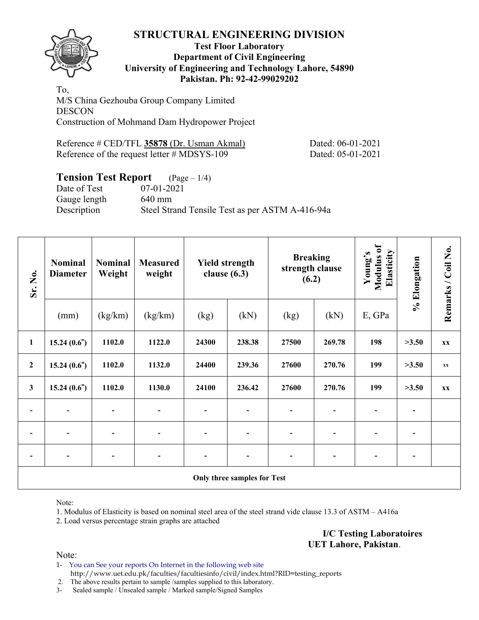

### **Test Floor Laboratory Department of Civil Engineering University of Engineering and Technology Lahore, 54890 Pakistan. Ph: 92-42-99029202**

To, M/S China Gezhouba Group Company Limited **DESCON** Construction of Mohmand Dam Hydropower Project

| Reference # CED/TFL 35878 (Dr. Usman Akmal)    | Dated: 06-01-2021 |
|------------------------------------------------|-------------------|
| Reference of the request letter $\#$ MDSYS-109 | Dated: 05-01-2021 |

# **Tension Test Report** (Page – 1/4)<br>Date of Test (07-01-2021)

07-01-2021 Gauge length 640 mm Description Steel Strand Tensile Test as per ASTM A-416-94a

| Sr. No.          | <b>Nominal</b><br><b>Diameter</b> | <b>Nominal</b><br>Weight | <b>Measured</b><br>weight | <b>Yield strength</b><br>clause $(6.3)$ |                             | <b>Breaking</b><br>strength clause<br>(6.2) |                | Modulus of<br>Elasticity<br>Young's | % Elongation             | Remarks / Coil No.     |
|------------------|-----------------------------------|--------------------------|---------------------------|-----------------------------------------|-----------------------------|---------------------------------------------|----------------|-------------------------------------|--------------------------|------------------------|
|                  | (mm)                              | (kg/km)                  | (kg/km)                   | (kg)                                    | (kN)                        | (kg)                                        | E, GPa<br>(kN) |                                     |                          |                        |
| $\mathbf{1}$     | 15.24(0.6")                       | 1102.0                   | 1122.0                    | 24300                                   | 238.38                      | 27500                                       | 269.78         | 198                                 | >3.50                    | <b>XX</b>              |
| $\boldsymbol{2}$ | 15.24(0.6")                       | 1102.0                   | 1132.0                    | 24400                                   | 239.36                      | 27600                                       | 270.76         | 199                                 | >3.50                    | $\mathbf{X}\mathbf{X}$ |
| $\mathbf{3}$     | 15.24(0.6")                       | 1102.0                   | 1130.0                    | 24100                                   | 236.42                      | 27600                                       | 270.76         | 199                                 | >3.50                    | <b>XX</b>              |
|                  | $\overline{\phantom{a}}$          |                          |                           |                                         |                             | -                                           | $\blacksquare$ | Ξ.                                  | $\overline{\phantom{0}}$ |                        |
|                  | $\blacksquare$                    |                          |                           |                                         | $\overline{\phantom{a}}$    |                                             |                |                                     | $\blacksquare$           |                        |
|                  | $\blacksquare$                    |                          |                           |                                         |                             | $\blacksquare$                              |                |                                     | $\blacksquare$           |                        |
|                  |                                   |                          |                           |                                         | Only three samples for Test |                                             |                |                                     |                          |                        |

Note:

1. Modulus of Elasticity is based on nominal steel area of the steel strand vide clause 13.3 of ASTM – A416a

2. Load versus percentage strain graphs are attached

**I/C Testing Laboratoires UET Lahore, Pakistan**.

Note:

1- You can See your reports On Internet in the following web site http://www.uet.edu.pk/faculties/facultiesinfo/civil/index.html?RID=testing\_reports

2. The above results pertain to sample /samples supplied to this laboratory.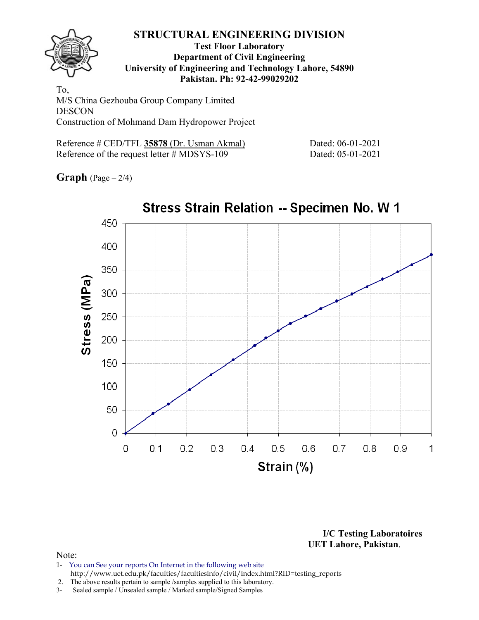

### **Test Floor Laboratory Department of Civil Engineering University of Engineering and Technology Lahore, 54890 Pakistan. Ph: 92-42-99029202**

To, M/S China Gezhouba Group Company Limited **DESCON** Construction of Mohmand Dam Hydropower Project

| Reference # CED/TFL 35878 (Dr. Usman Akmal)    |  |
|------------------------------------------------|--|
| Reference of the request letter $\#$ MDSYS-109 |  |

Dated: 06-01-2021 Dated: 05-01-2021

**Graph** (Page – 2/4)



**I/C Testing Laboratoires UET Lahore, Pakistan**.

- 1- You can See your reports On Internet in the following web site http://www.uet.edu.pk/faculties/facultiesinfo/civil/index.html?RID=testing\_reports
- 2. The above results pertain to sample /samples supplied to this laboratory.
- 3- Sealed sample / Unsealed sample / Marked sample/Signed Samples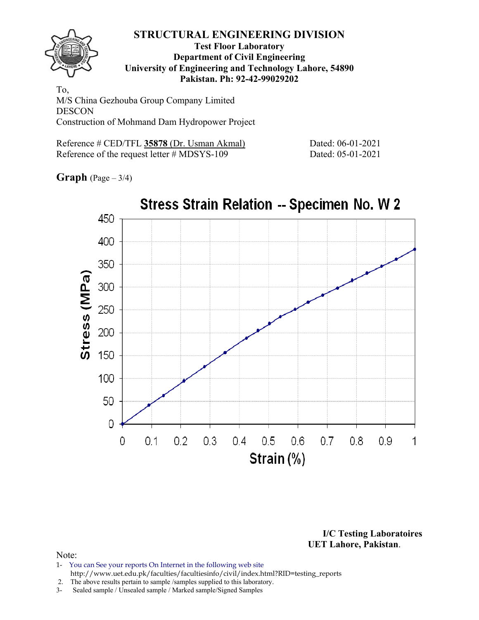

### **Test Floor Laboratory Department of Civil Engineering University of Engineering and Technology Lahore, 54890 Pakistan. Ph: 92-42-99029202**

To, M/S China Gezhouba Group Company Limited DESCON Construction of Mohmand Dam Hydropower Project

| Reference # CED/TFL 35878 (Dr. Usman Akmal)    |  |
|------------------------------------------------|--|
| Reference of the request letter $\#$ MDSYS-109 |  |

Dated: 06-01-2021 Dated: 05-01-2021

**Graph** (Page – 3/4)



**I/C Testing Laboratoires UET Lahore, Pakistan**.

- 1- You can See your reports On Internet in the following web site http://www.uet.edu.pk/faculties/facultiesinfo/civil/index.html?RID=testing\_reports
- 2. The above results pertain to sample /samples supplied to this laboratory.
- 3- Sealed sample / Unsealed sample / Marked sample/Signed Samples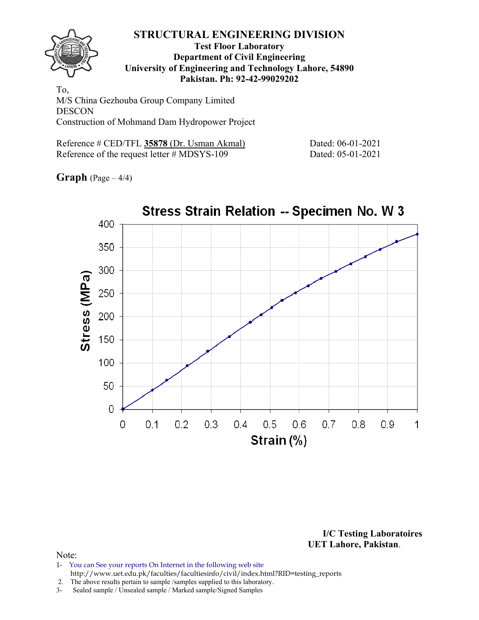

### **Test Floor Laboratory Department of Civil Engineering University of Engineering and Technology Lahore, 54890 Pakistan. Ph: 92-42-99029202**

To, M/S China Gezhouba Group Company Limited **DESCON** Construction of Mohmand Dam Hydropower Project

| Reference # CED/TFL 35878 (Dr. Usman Akmal)    |  |
|------------------------------------------------|--|
| Reference of the request letter $\#$ MDSYS-109 |  |

Dated: 06-01-2021 Dated: 05-01-2021

**Graph** (Page – 4/4)



**I/C Testing Laboratoires UET Lahore, Pakistan**.

### Note:

1- You can See your reports On Internet in the following web site http://www.uet.edu.pk/faculties/facultiesinfo/civil/index.html?RID=testing\_reports

2. The above results pertain to sample /samples supplied to this laboratory.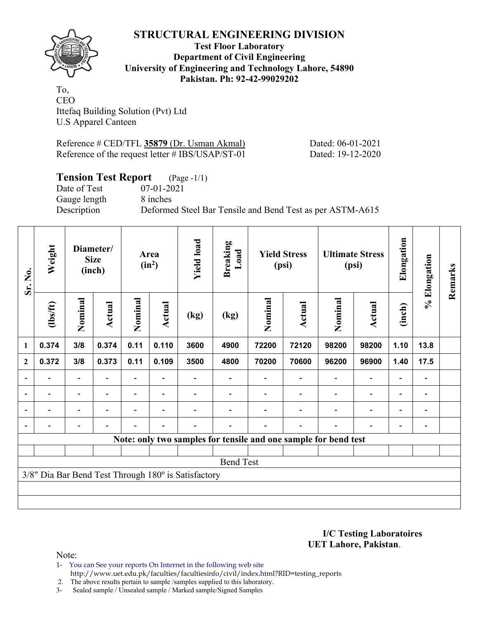**Test Floor Laboratory Department of Civil Engineering University of Engineering and Technology Lahore, 54890 Pakistan. Ph: 92-42-99029202** 

To, CEO Ittefaq Building Solution (Pvt) Ltd U.S Apparel Canteen

Reference # CED/TFL **35879** (Dr. Usman Akmal) Dated: 06-01-2021 Reference of the request letter # IBS/USAP/ST-01 Dated: 19-12-2020

# **Tension Test Report** (Page -1/1)

Date of Test 07-01-2021 Gauge length 8 inches

Description Deformed Steel Bar Tensile and Bend Test as per ASTM-A615

| Sr. No.                  | Weight                   |                          | Diameter/<br><b>Size</b><br>(inch) |                | Area<br>$(in^2)$ | <b>Yield load</b>                                   | <b>Breaking</b><br>Load |         | <b>Yield Stress</b><br>(psi) |                                                                 | <b>Ultimate Stress</b><br>(psi) |                          | % Elongation                 | Remarks |
|--------------------------|--------------------------|--------------------------|------------------------------------|----------------|------------------|-----------------------------------------------------|-------------------------|---------|------------------------------|-----------------------------------------------------------------|---------------------------------|--------------------------|------------------------------|---------|
|                          | (1bs/ft)                 | Nominal                  | <b>Actual</b>                      | Nominal        | Actual           | (kg)                                                | (kg)                    | Nominal | Actual                       | Nominal                                                         | Actual                          | (inch)                   |                              |         |
| 1                        | 0.374                    | 3/8                      | 0.374                              | 0.11           | 0.110            | 3600                                                | 4900                    | 72200   | 72120                        | 98200                                                           | 98200                           | 1.10                     | 13.8                         |         |
| $\mathbf{2}$             | 0.372                    | 3/8                      | 0.373                              | 0.11           | 0.109            | 3500                                                | 4800                    | 70200   | 70600                        | 96200                                                           | 96900                           | 1.40                     | 17.5                         |         |
|                          |                          | $\overline{\phantom{0}}$ |                                    |                |                  |                                                     |                         |         |                              |                                                                 | $\overline{\phantom{0}}$        | $\overline{\phantom{0}}$ |                              |         |
| $\overline{\phantom{a}}$ | $\overline{\phantom{0}}$ | $\blacksquare$           | $\blacksquare$                     |                | $\blacksquare$   |                                                     |                         |         |                              | $\overline{\phantom{a}}$                                        | $\overline{\phantom{a}}$        | $\overline{\phantom{a}}$ | $\overline{\phantom{a}}$     |         |
| $\blacksquare$           | $\blacksquare$           | Ξ.                       | $\blacksquare$                     | $\blacksquare$ | $\blacksquare$   |                                                     |                         |         |                              | ۰                                                               | $\overline{a}$                  | $\overline{\phantom{0}}$ | $\blacksquare$               |         |
|                          |                          | -                        |                                    |                | $\blacksquare$   | -                                                   |                         |         |                              | $\blacksquare$                                                  | $\overline{a}$                  | $\overline{\phantom{0}}$ | $\qquad \qquad \blacksquare$ |         |
|                          |                          |                          |                                    |                |                  |                                                     |                         |         |                              | Note: only two samples for tensile and one sample for bend test |                                 |                          |                              |         |
|                          |                          |                          |                                    |                |                  |                                                     |                         |         |                              |                                                                 |                                 |                          |                              |         |
|                          |                          |                          |                                    |                |                  |                                                     | <b>Bend Test</b>        |         |                              |                                                                 |                                 |                          |                              |         |
|                          |                          |                          |                                    |                |                  | 3/8" Dia Bar Bend Test Through 180° is Satisfactory |                         |         |                              |                                                                 |                                 |                          |                              |         |
|                          |                          |                          |                                    |                |                  |                                                     |                         |         |                              |                                                                 |                                 |                          |                              |         |
|                          |                          |                          |                                    |                |                  |                                                     |                         |         |                              |                                                                 |                                 |                          |                              |         |

**I/C Testing Laboratoires UET Lahore, Pakistan**.

Note:

1- You can See your reports On Internet in the following web site http://www.uet.edu.pk/faculties/facultiesinfo/civil/index.html?RID=testing\_reports

2. The above results pertain to sample /samples supplied to this laboratory.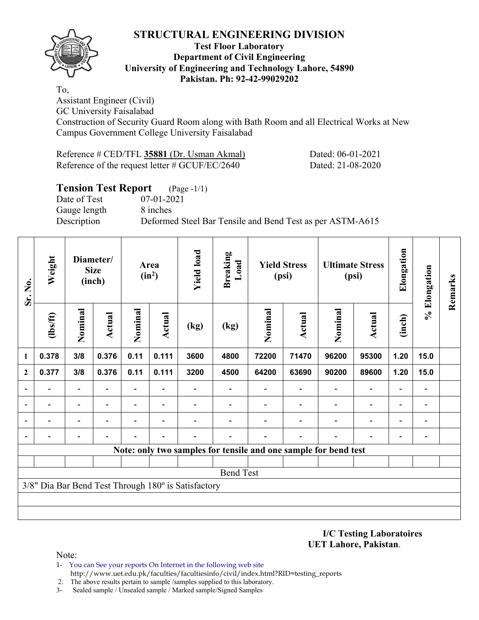

### **Test Floor Laboratory Department of Civil Engineering University of Engineering and Technology Lahore, 54890 Pakistan. Ph: 92-42-99029202**

To, Assistant Engineer (Civil)

GC University Faisalabad

Construction of Security Guard Room along with Bath Room and all Electrical Works at New Campus Government College University Faisalabad

Reference # CED/TFL **35881** (Dr. Usman Akmal) Dated: 06-01-2021 Reference of the request letter # GCUF/EC/2640 Dated: 21-08-2020

| <b>Tension Test Report</b> (Page -1/1) |                                                           |
|----------------------------------------|-----------------------------------------------------------|
| Date of Test                           | 07-01-2021                                                |
| Gauge length                           | 8 inches                                                  |
| Description                            | Deformed Steel Bar Tensile and Bend Test as per ASTM-A615 |
|                                        |                                                           |

| Sr. No.        | Weight   |                          | Diameter/<br><b>Size</b><br>(inch) |         | Area<br>$(in^2)$         | <b>Yield load</b>                                   | <b>Breaking</b><br>Load |         | <b>Yield Stress</b><br>(psi)                                    |                              | <b>Ultimate Stress</b><br>(psi) | Elongation               | % Elongation             | Remarks |
|----------------|----------|--------------------------|------------------------------------|---------|--------------------------|-----------------------------------------------------|-------------------------|---------|-----------------------------------------------------------------|------------------------------|---------------------------------|--------------------------|--------------------------|---------|
|                | (1bs/ft) | Nominal                  | Actual                             | Nominal | Actual                   | (kg)                                                | (kg)                    | Nominal | Actual                                                          | Nominal                      | <b>Actual</b>                   | (inch)                   |                          |         |
| 1              | 0.378    | 3/8                      | 0.376                              | 0.11    | 0.111                    | 3600                                                | 4800                    | 72200   | 71470                                                           | 96200                        | 95300                           | 1.20                     | 15.0                     |         |
| $\overline{2}$ | 0.377    | 3/8                      | 0.376                              | 0.11    | 0.111                    | 3200                                                | 4500                    | 64200   | 63690                                                           | 90200                        | 89600                           | 1.20                     | 15.0                     |         |
|                |          | $\overline{a}$           |                                    | Ξ.      |                          |                                                     |                         |         |                                                                 | $\qquad \qquad \blacksquare$ | $\overline{\phantom{0}}$        | $\overline{\phantom{a}}$ | $\overline{\phantom{a}}$ |         |
|                |          | $\overline{\phantom{a}}$ | $\blacksquare$                     | Ξ.      | $\overline{\phantom{0}}$ |                                                     |                         |         | $\overline{\phantom{0}}$                                        | $\overline{\phantom{0}}$     | $\overline{\phantom{a}}$        | $\overline{\phantom{a}}$ | $\overline{\phantom{a}}$ |         |
|                |          | $\overline{\phantom{0}}$ |                                    |         |                          |                                                     |                         |         |                                                                 |                              | $\overline{\phantom{0}}$        | $\overline{\phantom{0}}$ |                          |         |
|                |          |                          |                                    |         |                          |                                                     |                         |         |                                                                 |                              |                                 | $\overline{\phantom{0}}$ | $\overline{\phantom{0}}$ |         |
|                |          |                          |                                    |         |                          |                                                     |                         |         | Note: only two samples for tensile and one sample for bend test |                              |                                 |                          |                          |         |
|                |          |                          |                                    |         |                          |                                                     |                         |         |                                                                 |                              |                                 |                          |                          |         |
|                |          |                          |                                    |         |                          |                                                     | <b>Bend Test</b>        |         |                                                                 |                              |                                 |                          |                          |         |
|                |          |                          |                                    |         |                          | 3/8" Dia Bar Bend Test Through 180° is Satisfactory |                         |         |                                                                 |                              |                                 |                          |                          |         |
|                |          |                          |                                    |         |                          |                                                     |                         |         |                                                                 |                              |                                 |                          |                          |         |
|                |          |                          |                                    |         |                          |                                                     |                         |         |                                                                 |                              |                                 |                          |                          |         |

**I/C Testing Laboratoires UET Lahore, Pakistan**.

- 1- You can See your reports On Internet in the following web site http://www.uet.edu.pk/faculties/facultiesinfo/civil/index.html?RID=testing\_reports
- 2. The above results pertain to sample /samples supplied to this laboratory.
- 3- Sealed sample / Unsealed sample / Marked sample/Signed Samples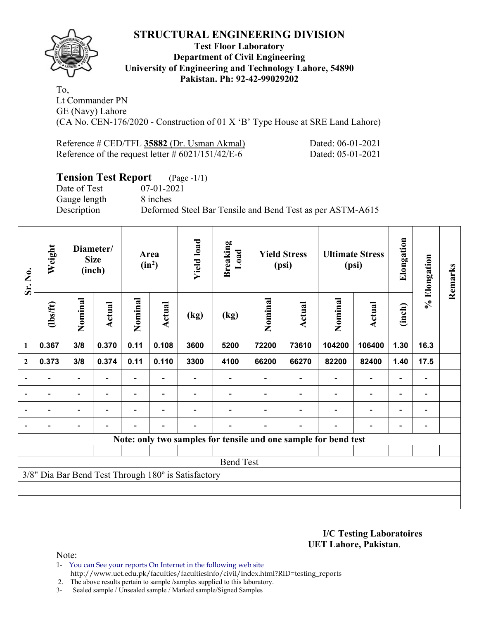

### **Test Floor Laboratory Department of Civil Engineering University of Engineering and Technology Lahore, 54890 Pakistan. Ph: 92-42-99029202**

To, Lt Commander PN GE (Navy) Lahore (CA No. CEN-176/2020 - Construction of 01 X 'B' Type House at SRE Land Lahore)

| Reference # CED/TFL 35882 (Dr. Usman Akmal)          | Dated: 06-01-2021 |
|------------------------------------------------------|-------------------|
| Reference of the request letter $\#$ 6021/151/42/E-6 | Dated: 05-01-2021 |

# **Tension Test Report** (Page -1/1)

Date of Test 07-01-2021 Gauge length 8 inches

Description Deformed Steel Bar Tensile and Bend Test as per ASTM-A615

| Sr. No.        | Weight   | Diameter/<br><b>Size</b><br>(inch) |                          |                          | <b>Yield load</b><br>Area<br>$(in^2)$ |                                                     | <b>Breaking</b><br>Load                                         | <b>Yield Stress</b><br>(psi) |                          | <b>Ultimate Stress</b><br>(psi) |                          | Elongation               | % Elongation             | Remarks |
|----------------|----------|------------------------------------|--------------------------|--------------------------|---------------------------------------|-----------------------------------------------------|-----------------------------------------------------------------|------------------------------|--------------------------|---------------------------------|--------------------------|--------------------------|--------------------------|---------|
|                | (1bs/ft) | Nominal                            | Actual                   | Nominal                  | Actual                                | (kg)                                                | (kg)                                                            | Nominal                      | Actual                   | Nominal                         | Actual                   | (inch)                   |                          |         |
| 1              | 0.367    | 3/8                                | 0.370                    | 0.11                     | 0.108                                 | 3600                                                | 5200                                                            | 72200                        | 73610                    | 104200                          | 106400                   | 1.30                     | 16.3                     |         |
| $\mathbf{2}$   | 0.373    | 3/8                                | 0.374                    | 0.11                     | 0.110                                 | 3300                                                | 4100                                                            | 66200                        | 66270                    | 82200                           | 82400                    | 1.40                     | 17.5                     |         |
| $\overline{a}$ |          | $\overline{\phantom{0}}$           |                          |                          |                                       |                                                     |                                                                 |                              |                          |                                 |                          |                          | $\overline{\phantom{a}}$ |         |
| $\blacksquare$ | ۰        | $\overline{\phantom{a}}$           | $\overline{\phantom{a}}$ | $\overline{\phantom{a}}$ | $\overline{\phantom{a}}$              |                                                     |                                                                 |                              | $\blacksquare$           | $\overline{\phantom{a}}$        | $\overline{\phantom{0}}$ | $\overline{\phantom{0}}$ | $\blacksquare$           |         |
|                | ۰        | $\overline{\phantom{0}}$           | ۰                        | $\blacksquare$           | $\overline{\phantom{0}}$              |                                                     |                                                                 |                              | $\blacksquare$           | $\overline{\phantom{0}}$        | $\overline{\phantom{0}}$ | $\blacksquare$           | $\blacksquare$           |         |
| $\blacksquare$ |          | $\overline{\phantom{0}}$           | $\blacksquare$           | $\overline{\phantom{0}}$ | $\blacksquare$                        | $\overline{a}$                                      |                                                                 |                              | $\overline{\phantom{0}}$ | $\overline{\phantom{0}}$        | $\overline{a}$           | $\overline{\phantom{0}}$ |                          |         |
|                |          |                                    |                          |                          |                                       |                                                     | Note: only two samples for tensile and one sample for bend test |                              |                          |                                 |                          |                          |                          |         |
|                |          |                                    |                          |                          |                                       |                                                     |                                                                 |                              |                          |                                 |                          |                          |                          |         |
|                |          |                                    |                          |                          |                                       |                                                     | <b>Bend Test</b>                                                |                              |                          |                                 |                          |                          |                          |         |
|                |          |                                    |                          |                          |                                       | 3/8" Dia Bar Bend Test Through 180° is Satisfactory |                                                                 |                              |                          |                                 |                          |                          |                          |         |
|                |          |                                    |                          |                          |                                       |                                                     |                                                                 |                              |                          |                                 |                          |                          |                          |         |
|                |          |                                    |                          |                          |                                       |                                                     |                                                                 |                              |                          |                                 |                          |                          |                          |         |

### **I/C Testing Laboratoires UET Lahore, Pakistan**.

- 1- You can See your reports On Internet in the following web site http://www.uet.edu.pk/faculties/facultiesinfo/civil/index.html?RID=testing\_reports
- 2. The above results pertain to sample /samples supplied to this laboratory.
- 3- Sealed sample / Unsealed sample / Marked sample/Signed Samples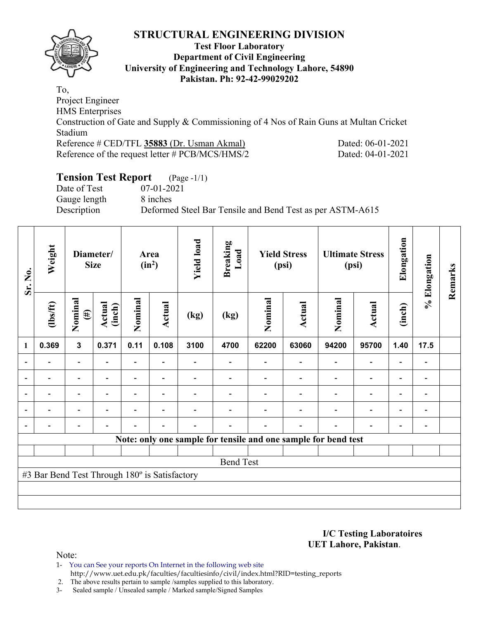

### **Test Floor Laboratory Department of Civil Engineering University of Engineering and Technology Lahore, 54890 Pakistan. Ph: 92-42-99029202**

To, Project Engineer HMS Enterprises Construction of Gate and Supply & Commissioning of 4 Nos of Rain Guns at Multan Cricket Stadium Reference # CED/TFL **35883** (Dr. Usman Akmal) Dated: 06-01-2021 Reference of the request letter # PCB/MCS/HMS/2 Dated: 04-01-2021

# **Tension Test Report** (Page -1/1)

Date of Test 07-01-2021 Gauge length 8 inches

Description Deformed Steel Bar Tensile and Bend Test as per ASTM-A615

| Sr. No.        | Weight<br>Diameter/<br><b>Size</b>            |                          |                          | Area<br>$(in^2)$         |                          | <b>Yield load</b><br><b>Breaking</b><br>Load |                                                                |         | <b>Yield Stress</b><br>(psi) |         | <b>Ultimate Stress</b><br>(psi) | Elongation               | % Elongation                 | Remarks |
|----------------|-----------------------------------------------|--------------------------|--------------------------|--------------------------|--------------------------|----------------------------------------------|----------------------------------------------------------------|---------|------------------------------|---------|---------------------------------|--------------------------|------------------------------|---------|
|                | (1bs/ft)                                      | Nominal<br>$(\#)$        | Actual<br>(inch)         | Nominal                  | <b>Actual</b>            | (kg)                                         | (kg)                                                           | Nominal | Actual                       | Nominal | <b>Actual</b>                   | (inch)                   |                              |         |
| $\mathbf{1}$   | 0.369                                         | $\mathbf 3$              | 0.371                    | 0.11                     | 0.108                    | 3100                                         | 4700                                                           | 62200   | 63060                        | 94200   | 95700                           | 1.40                     | 17.5                         |         |
|                |                                               | $\overline{\phantom{0}}$ |                          |                          |                          |                                              |                                                                |         |                              |         |                                 |                          |                              |         |
| $\overline{a}$ | $\overline{a}$                                | $\overline{\phantom{0}}$ |                          |                          | $\overline{\phantom{0}}$ |                                              |                                                                |         |                              |         | $\overline{\phantom{0}}$        | $\overline{\phantom{0}}$ | $\overline{\phantom{a}}$     |         |
| $\overline{a}$ | $\overline{\phantom{a}}$                      | $\overline{\phantom{0}}$ | $\overline{\phantom{0}}$ | -                        | $\overline{\phantom{a}}$ |                                              |                                                                |         |                              |         | $\overline{\phantom{0}}$        | $\overline{\phantom{0}}$ | $\qquad \qquad \blacksquare$ |         |
|                | $\blacksquare$                                | $\blacksquare$           |                          | -                        | ۰                        |                                              |                                                                |         |                              |         | $\overline{\phantom{0}}$        | $\overline{\phantom{0}}$ | $\qquad \qquad \blacksquare$ |         |
|                |                                               | $\overline{\phantom{0}}$ | $\overline{\phantom{a}}$ | $\overline{\phantom{0}}$ | $\overline{\phantom{a}}$ |                                              |                                                                |         |                              |         | $\overline{\phantom{a}}$        | $\overline{\phantom{0}}$ |                              |         |
|                |                                               |                          |                          |                          |                          |                                              | Note: only one sample for tensile and one sample for bend test |         |                              |         |                                 |                          |                              |         |
|                |                                               |                          |                          |                          |                          |                                              |                                                                |         |                              |         |                                 |                          |                              |         |
|                |                                               |                          |                          |                          |                          |                                              | <b>Bend Test</b>                                               |         |                              |         |                                 |                          |                              |         |
|                | #3 Bar Bend Test Through 180° is Satisfactory |                          |                          |                          |                          |                                              |                                                                |         |                              |         |                                 |                          |                              |         |
|                |                                               |                          |                          |                          |                          |                                              |                                                                |         |                              |         |                                 |                          |                              |         |
|                |                                               |                          |                          |                          |                          |                                              |                                                                |         |                              |         |                                 |                          |                              |         |

**I/C Testing Laboratoires UET Lahore, Pakistan**.

Note:

1- You can See your reports On Internet in the following web site http://www.uet.edu.pk/faculties/facultiesinfo/civil/index.html?RID=testing\_reports

2. The above results pertain to sample /samples supplied to this laboratory.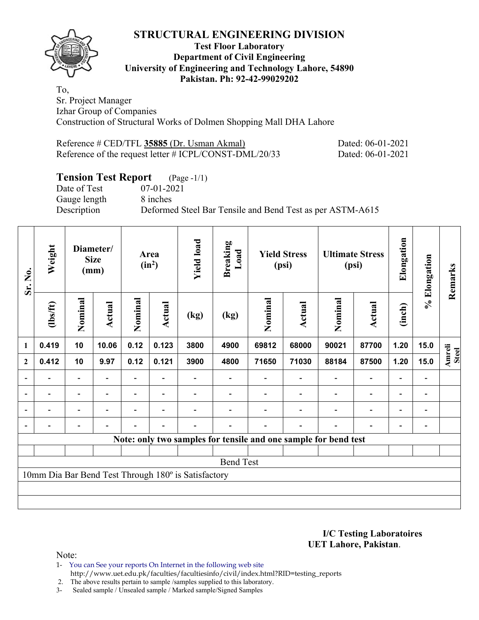### **Test Floor Laboratory Department of Civil Engineering University of Engineering and Technology Lahore, 54890 Pakistan. Ph: 92-42-99029202**

To, Sr. Project Manager Izhar Group of Companies Construction of Structural Works of Dolmen Shopping Mall DHA Lahore

Reference # CED/TFL **35885** (Dr. Usman Akmal) Dated: 06-01-2021 Reference of the request letter # ICPL/CONST-DML/20/33 Dated: 06-01-2021

# **Tension Test Report** (Page -1/1)

Date of Test 07-01-2021 Gauge length 8 inches

Description Deformed Steel Bar Tensile and Bend Test as per ASTM-A615

| Sr. No.                  | Weight         | Diameter/<br><b>Size</b><br>(mm) |                | Area<br>$(in^2)$ |                          | <b>Yield load</b><br><b>Breaking</b><br>Load        |                                                                 | <b>Yield Stress</b><br>(psi) |                          | <b>Ultimate Stress</b><br>(psi) |                          | Elongation               | % Elongation   | Remarks                       |
|--------------------------|----------------|----------------------------------|----------------|------------------|--------------------------|-----------------------------------------------------|-----------------------------------------------------------------|------------------------------|--------------------------|---------------------------------|--------------------------|--------------------------|----------------|-------------------------------|
|                          | (1bs/ft)       | Nominal                          | Actual         | Nominal          | Actual                   | (kg)                                                | (kg)                                                            | Nominal                      | Actual                   | Nominal                         | <b>Actual</b>            | (inch)                   |                |                               |
| $\mathbf{1}$             | 0.419          | 10                               | 10.06          | 0.12             | 0.123                    | 3800                                                | 4900                                                            | 69812                        | 68000                    | 90021                           | 87700                    | 1.20                     | 15.0           |                               |
| $\mathbf{2}$             | 0.412          | 10                               | 9.97           | 0.12             | 0.121                    | 3900                                                | 4800                                                            | 71650                        | 71030                    | 88184                           | 87500                    | 1.20                     | 15.0           | <b>Amreli</b><br><b>Steel</b> |
| $\overline{\phantom{a}}$ | $\blacksquare$ | $\overline{\phantom{a}}$         | $\blacksquare$ |                  |                          |                                                     |                                                                 |                              | $\overline{\phantom{a}}$ | $\overline{\phantom{a}}$        | $\overline{\phantom{a}}$ | $\overline{\phantom{a}}$ |                |                               |
| $\blacksquare$           | $\overline{a}$ | $\overline{\phantom{a}}$         | $\blacksquare$ | Ξ.               | $\overline{\phantom{a}}$ |                                                     |                                                                 |                              |                          | $\overline{\phantom{0}}$        | $\overline{\phantom{a}}$ | $\overline{\phantom{a}}$ | $\blacksquare$ |                               |
|                          |                | $\overline{\phantom{0}}$         |                |                  |                          |                                                     |                                                                 |                              |                          |                                 | $\overline{a}$           | $\overline{\phantom{0}}$ |                |                               |
|                          |                |                                  |                |                  |                          |                                                     |                                                                 |                              |                          |                                 | $\overline{\phantom{0}}$ | $\overline{\phantom{0}}$ |                |                               |
|                          |                |                                  |                |                  |                          |                                                     | Note: only two samples for tensile and one sample for bend test |                              |                          |                                 |                          |                          |                |                               |
|                          |                |                                  |                |                  |                          |                                                     |                                                                 |                              |                          |                                 |                          |                          |                |                               |
|                          |                |                                  |                |                  |                          |                                                     | <b>Bend Test</b>                                                |                              |                          |                                 |                          |                          |                |                               |
|                          |                |                                  |                |                  |                          | 10mm Dia Bar Bend Test Through 180° is Satisfactory |                                                                 |                              |                          |                                 |                          |                          |                |                               |
|                          |                |                                  |                |                  |                          |                                                     |                                                                 |                              |                          |                                 |                          |                          |                |                               |
|                          |                |                                  |                |                  |                          |                                                     |                                                                 |                              |                          |                                 |                          |                          |                |                               |

**I/C Testing Laboratoires UET Lahore, Pakistan**.

Note:

1- You can See your reports On Internet in the following web site http://www.uet.edu.pk/faculties/facultiesinfo/civil/index.html?RID=testing\_reports

2. The above results pertain to sample /samples supplied to this laboratory.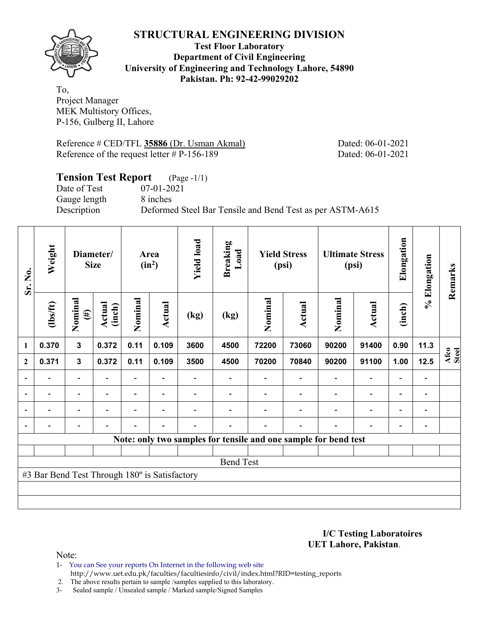

### **Test Floor Laboratory Department of Civil Engineering University of Engineering and Technology Lahore, 54890 Pakistan. Ph: 92-42-99029202**

To, Project Manager MEK Multistory Offices, P-156, Gulberg II, Lahore

Reference # CED/TFL **35886** (Dr. Usman Akmal) Dated: 06-01-2021 Reference of the request letter # P-156-189 Dated: 06-01-2021

# **Tension Test Report** (Page -1/1) Date of Test 07-01-2021 Gauge length 8 inches Description Deformed Steel Bar Tensile and Bend Test as per ASTM-A615

| Sr. No.        | Weight                                        |                          | Diameter/<br><b>Size</b> | Area<br>$(in^2)$ |                          | <b>Yield load</b> | <b>Breaking</b><br>Load                                         | <b>Yield Stress</b><br>(psi) |        |                | <b>Ultimate Stress</b><br>(psi) | Elongation               | % Elongation   | Remarks       |
|----------------|-----------------------------------------------|--------------------------|--------------------------|------------------|--------------------------|-------------------|-----------------------------------------------------------------|------------------------------|--------|----------------|---------------------------------|--------------------------|----------------|---------------|
|                | $\frac{2}{10}$                                | Nominal<br>$(\#)$        | <b>Actual</b><br>(inch)  | Nominal          | Actual                   | (kg)              | (kg)                                                            | Nominal                      | Actual | Nominal        | <b>Actual</b>                   | (inch)                   |                |               |
| $\mathbf{1}$   | 0.370                                         | $\mathbf{3}$             | 0.372                    | 0.11             | 0.109                    | 3600              | 4500                                                            | 72200                        | 73060  | 90200          | 91400                           | 0.90                     | 11.3           |               |
| $\mathbf{2}$   | 0.371                                         | $\mathbf{3}$             | 0.372                    | 0.11             | 0.109                    | 3500              | 4500                                                            | 70200                        | 70840  | 90200          | 91100                           | 1.00                     | 12.5           | Afco<br>Steel |
|                |                                               | -                        |                          |                  |                          |                   |                                                                 |                              |        |                | $\overline{\phantom{0}}$        | $\overline{\phantom{0}}$ |                |               |
| $\overline{a}$ |                                               | $\overline{\phantom{0}}$ |                          |                  | $\overline{\phantom{0}}$ |                   |                                                                 |                              |        |                | $\overline{\phantom{0}}$        | $\overline{\phantom{0}}$ |                |               |
| $\blacksquare$ |                                               | $\overline{\phantom{a}}$ | $\blacksquare$           |                  | $\overline{\phantom{a}}$ |                   |                                                                 |                              |        | ۰              | $\overline{\phantom{0}}$        | $\blacksquare$           | $\blacksquare$ |               |
|                | -                                             | -                        |                          |                  | $\blacksquare$           |                   |                                                                 |                              | ۰      | $\blacksquare$ | $\overline{a}$                  | $\overline{\phantom{a}}$ |                |               |
|                |                                               |                          |                          |                  |                          |                   | Note: only two samples for tensile and one sample for bend test |                              |        |                |                                 |                          |                |               |
|                |                                               |                          |                          |                  |                          |                   |                                                                 |                              |        |                |                                 |                          |                |               |
|                |                                               |                          |                          |                  |                          |                   | <b>Bend Test</b>                                                |                              |        |                |                                 |                          |                |               |
|                | #3 Bar Bend Test Through 180° is Satisfactory |                          |                          |                  |                          |                   |                                                                 |                              |        |                |                                 |                          |                |               |
|                |                                               |                          |                          |                  |                          |                   |                                                                 |                              |        |                |                                 |                          |                |               |
|                |                                               |                          |                          |                  |                          |                   |                                                                 |                              |        |                |                                 |                          |                |               |

**I/C Testing Laboratoires UET Lahore, Pakistan**.

Note:

1- You can See your reports On Internet in the following web site http://www.uet.edu.pk/faculties/facultiesinfo/civil/index.html?RID=testing\_reports

2. The above results pertain to sample /samples supplied to this laboratory.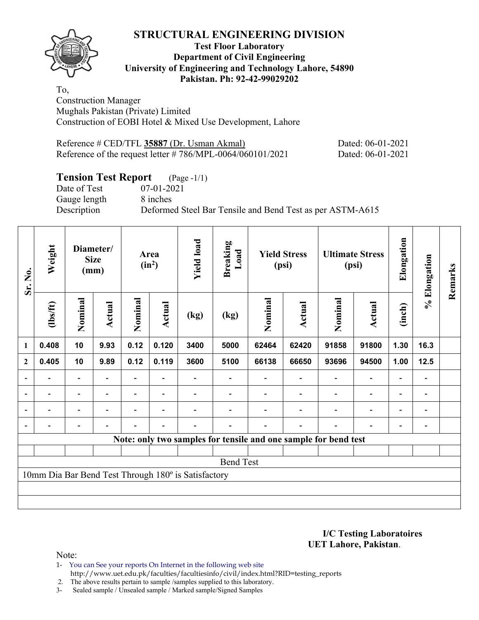### **Test Floor Laboratory Department of Civil Engineering University of Engineering and Technology Lahore, 54890 Pakistan. Ph: 92-42-99029202**

To, Construction Manager Mughals Pakistan (Private) Limited Construction of EOBI Hotel & Mixed Use Development, Lahore

| Reference # CED/TFL 35887 (Dr. Usman Akmal)                   | Dated: 06-01-2021 |
|---------------------------------------------------------------|-------------------|
| Reference of the request letter $\# 786/MPL-0064/060101/2021$ | Dated: 06-01-2021 |

# **Tension Test Report** (Page -1/1)

Date of Test 07-01-2021 Gauge length 8 inches

Description Deformed Steel Bar Tensile and Bend Test as per ASTM-A615

| Sr. No.        | Weight                   |                          | Diameter/<br><b>Size</b><br>(mm) |                          |                          |                                                     | Area<br>$(in^2)$         |         | <b>Breaking</b><br>Load                                         | <b>Yield Stress</b><br>(psi) |                          | <b>Ultimate Stress</b><br>(psi) |                          | Elongation | % Elongation | Remarks |
|----------------|--------------------------|--------------------------|----------------------------------|--------------------------|--------------------------|-----------------------------------------------------|--------------------------|---------|-----------------------------------------------------------------|------------------------------|--------------------------|---------------------------------|--------------------------|------------|--------------|---------|
|                | (1bs/ft)                 | Nominal                  | Actual                           | Nominal                  | Actual                   | (kg)                                                | (kg)                     | Nominal | Actual                                                          | Nominal                      | Actual                   | (inch)                          |                          |            |              |         |
| 1              | 0.408                    | 10                       | 9.93                             | 0.12                     | 0.120                    | 3400                                                | 5000                     | 62464   | 62420                                                           | 91858                        | 91800                    | 1.30                            | 16.3                     |            |              |         |
| $\mathbf{2}$   | 0.405                    | 10                       | 9.89                             | 0.12                     | 0.119                    | 3600                                                | 5100                     | 66138   | 66650                                                           | 93696                        | 94500                    | 1.00                            | 12.5                     |            |              |         |
|                |                          | $\overline{\phantom{0}}$ |                                  |                          |                          |                                                     |                          |         |                                                                 |                              |                          |                                 | $\overline{\phantom{a}}$ |            |              |         |
| $\blacksquare$ | $\blacksquare$           | $\overline{\phantom{a}}$ | $\blacksquare$                   | Ξ.                       | $\overline{\phantom{a}}$ |                                                     |                          |         | $\blacksquare$                                                  | $\overline{\phantom{a}}$     | $\overline{\phantom{0}}$ | $\overline{\phantom{0}}$        | $\blacksquare$           |            |              |         |
|                | $\overline{\phantom{0}}$ | $\overline{\phantom{a}}$ |                                  | Ξ.                       | $\blacksquare$           |                                                     |                          |         |                                                                 | $\blacksquare$               | $\overline{\phantom{0}}$ | $\blacksquare$                  | $\blacksquare$           |            |              |         |
|                | $\blacksquare$           | $\overline{\phantom{a}}$ |                                  | $\overline{\phantom{0}}$ | $\overline{\phantom{a}}$ | $\blacksquare$                                      | $\overline{\phantom{0}}$ |         | $\blacksquare$                                                  | $\blacksquare$               | $\overline{a}$           | $\overline{\phantom{0}}$        | $\blacksquare$           |            |              |         |
|                |                          |                          |                                  |                          |                          |                                                     |                          |         | Note: only two samples for tensile and one sample for bend test |                              |                          |                                 |                          |            |              |         |
|                |                          |                          |                                  |                          |                          |                                                     |                          |         |                                                                 |                              |                          |                                 |                          |            |              |         |
|                |                          |                          |                                  |                          |                          |                                                     | <b>Bend Test</b>         |         |                                                                 |                              |                          |                                 |                          |            |              |         |
|                |                          |                          |                                  |                          |                          | 10mm Dia Bar Bend Test Through 180° is Satisfactory |                          |         |                                                                 |                              |                          |                                 |                          |            |              |         |
|                |                          |                          |                                  |                          |                          |                                                     |                          |         |                                                                 |                              |                          |                                 |                          |            |              |         |
|                |                          |                          |                                  |                          |                          |                                                     |                          |         |                                                                 |                              |                          |                                 |                          |            |              |         |

**I/C Testing Laboratoires UET Lahore, Pakistan**.

Note:

1- You can See your reports On Internet in the following web site http://www.uet.edu.pk/faculties/facultiesinfo/civil/index.html?RID=testing\_reports

2. The above results pertain to sample /samples supplied to this laboratory.